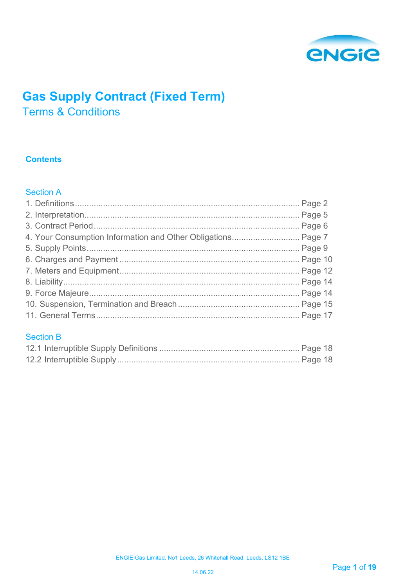

# **Gas Supply Contract (Fixed Term)**

Terms & Conditions

# **Contents**

# Section A

| 4. Your Consumption Information and Other Obligations Page 7 |  |
|--------------------------------------------------------------|--|
|                                                              |  |
|                                                              |  |
|                                                              |  |
|                                                              |  |
|                                                              |  |
|                                                              |  |
|                                                              |  |
|                                                              |  |

# Section B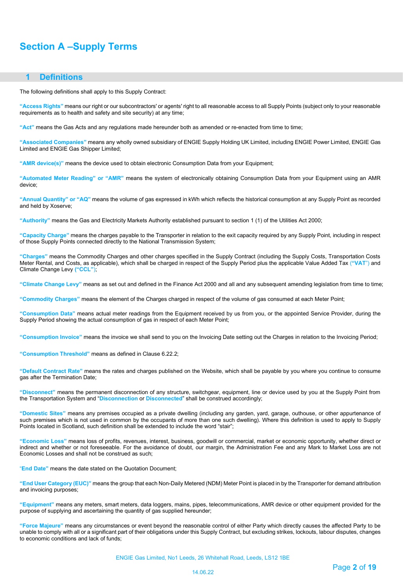# **Section A –Supply Terms**

# <span id="page-1-0"></span> **1 Definitions**

The following definitions shall apply to this Supply Contract:

**"Access Rights"** means our right or our subcontractors' or agents' right to all reasonable access to all Supply Points (subject only to your reasonable requirements as to health and safety and site security) at any time;

**"Act"** means the Gas Acts and any regulations made hereunder both as amended or re-enacted from time to time;

**"Associated Companies"** means any wholly owned subsidiary of ENGIE Supply Holding UK Limited, including ENGIE Power Limited, ENGIE Gas Limited and ENGIE Gas Shipper Limited;

**"AMR device(s)"** means the device used to obtain electronic Consumption Data from your Equipment;

**"Automated Meter Reading" or "AMR"** means the system of electronically obtaining Consumption Data from your Equipment using an AMR device;

**"Annual Quantity" or "AQ"** means the volume of gas expressed in kWh which reflects the historical consumption at any Supply Point as recorded and held by Xoserve;

**"Authority"** means the Gas and Electricity Markets Authority established pursuant to section 1 (1) of the Utilities Act 2000;

**"Capacity Charge"** means the charges payable to the Transporter in relation to the exit capacity required by any Supply Point, including in respect of those Supply Points connected directly to the National Transmission System;

**"Charges"** means the Commodity Charges and other charges specified in the Supply Contract (including the Supply Costs, Transportation Costs Meter Rental, and Costs, as applicable), which shall be charged in respect of the Supply Period plus the applicable Value Added Tax (**"VAT**") and Climate Change Levy **("CCL"**);

**"Climate Change Levy"** means as set out and defined in the Finance Act 2000 and all and any subsequent amending legislation from time to time;

**"Commodity Charges"** means the element of the Charges charged in respect of the volume of gas consumed at each Meter Point;

**"Consumption Data"** means actual meter readings from the Equipment received by us from you, or the appointed Service Provider, during the Supply Period showing the actual consumption of gas in respect of each Meter Point;

**"Consumption Invoice"** means the invoice we shall send to you on the Invoicing Date setting out the Charges in relation to the Invoicing Period;

**"Consumption Threshold"** means as defined in Clause 6.22.2;

**"Default Contract Rate"** means the rates and charges published o[n the W](http://the/)ebsite, which shall be payable by you where you continue to consume gas after the Termination Date;

**"Disconnect"** means the permanent disconnection of any structure, switchgear, equipment, line or device used by you at the Supply Point from the Transportation System and "**Disconnection** or **Disconnected**" shall be construed accordingly;

**"Domestic Sites"** means any premises occupied as a private dwelling (including any garden, yard, garage, outhouse, or other appurtenance of such premises which is not used in common by the occupants of more than one such dwelling). Where this definition is used to apply to Supply Points located in Scotland, such definition shall be extended to include the word "stair";

**"Economic Loss"** means loss of profits, revenues, interest, business, goodwill or commercial, market or economic opportunity, whether direct or indirect and whether or not foreseeable. For the avoidance of doubt, our margin, the Administration Fee and any Mark to Market Loss are not Economic Losses and shall not be construed as such;

"**End Date"** means the date stated on the Quotation Document;

**"End User Category (EUC)"** means the group that each Non-Daily Metered (NDM) Meter Point is placed in by the Transporter for demand attribution and invoicing purposes;

**"Equipment"** means any meters, smart meters, data loggers, mains, pipes, telecommunications, AMR device or other equipment provided for the purpose of supplying and ascertaining the quantity of gas supplied hereunder;

**"Force Majeure"** means any circumstances or event beyond the reasonable control of either Party which directly causes the affected Party to be unable to comply with all or a significant part of their obligations under this Supply Contract, but excluding strikes, lockouts, labour disputes, changes to economic conditions and lack of funds;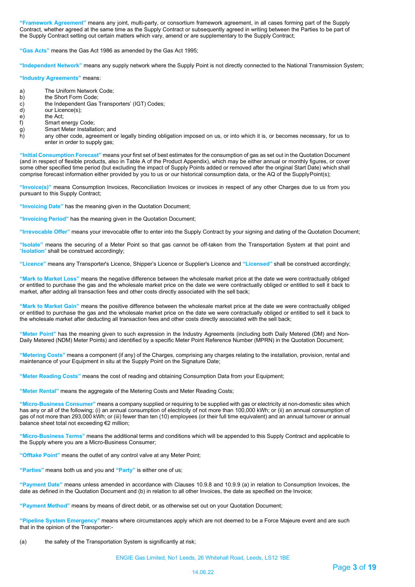**"Framework Agreement"** means any joint, multi-party, or consortium framework agreement, in all cases forming part of the Supply Contract, whether agreed at the same time as the Supply Contract or subsequently agreed in writing between the Parties to be part of the Supply Contract setting out certain matters which vary, amend or are supplementary to the Supply Contract;

**"Gas Acts"** means the Gas Act 1986 as amended by the Gas Act 1995;

**"Independent Network"** means any supply network where the Supply Point is not directly connected to the National Transmission System;

**"Industry Agreements"** means:

- a) The Uniform Network Code;<br>b) the Short Form Code;
- 
- b) the Short Form Code;<br>c) the Independent Gas<br>d) our Licence(s); the Independent Gas Transporters' (IGT) Codes;
- d) our Licence(s);<br>e) the Act;
- e) the Act;<br>f) Smart er
- f) Smart energy Code;<br>g) Smart Meter Installa
- g) Smart Meter Installation; and<br>h) any other code, agreement o
- any other code, agreement or legally binding obligation imposed on us, or into which it is, or becomes necessary, for us to enter in order to supply gas;

**"Initial Consumption Forecast"** means your first set of best estimates for the consumption of gas as set out in the Quotation Document (and in respect of flexible products, also in Table A of the Product Appendix), which may be either annual or monthly figures, or cover some other specified time period (but excluding the impact of Supply Points added or removed after the original Start Date) which shall comprise forecast information either provided by you to us or our historical consumption data, or the AQ of the SupplyPoint(s);

**"Invoice(s)"** means Consumption Invoices, Reconciliation Invoices or invoices in respect of any other Charges due to us from you pursuant to this Supply Contract;

**"Invoicing Date"** has the meaning given in the Quotation Document;

**"Invoicing Period"** has the meaning given in the Quotation Document;

**"Irrevocable Offer"** means your irrevocable offer to enter into the Supply Contract by your signing and dating of the Quotation Document;

**"Isolate"** means the securing of a Meter Point so that gas cannot be off-taken from the Transportation System at that point and "**Isolation**" shall be construed accordingly;

**"Licence"** means any Transporter's Licence, Shipper's Licence or Supplier's Licence and **"Licensed"** shall be construed accordingly;

**"Mark to Market Loss"** means the negative difference between the wholesale market price at the date we were contractually obliged or entitled to purchase the gas and the wholesale market price on the date we were contractually obliged or entitled to sell it back to market, after adding all transaction fees and other costs directly associated with the sell back;

**"Mark to Market Gain"** means the positive difference between the wholesale market price at the date we were contractually obliged or entitled to purchase the gas and the wholesale market price on the date we were contractually obliged or entitled to sell it back to the wholesale market after deducting all transaction fees and other costs directly associated with the sell back;

**"Meter Point"** has the meaning given to such expression in the Industry Agreements (including both Daily Metered (DM) and Non-Daily Metered (NDM) Meter Points) and identified by a specific Meter Point Reference Number (MPRN) in the Quotation Document;

**"Metering Costs"** means a component (if any) of the Charges, comprising any charges relating to the installation, provision, rental and maintenance of your Equipment in situ at the Supply Point on the Signature Date;

**"Meter Reading Costs"** means the cost of reading and obtaining Consumption Data from your Equipment;

**"Meter Rental"** means the aggregate of the Metering Costs and Meter Reading Costs;

**"Micro-Business Consumer"** means a company supplied or requiring to be supplied with gas or electricity at non-domestic sites which has any or all of the following; (i) an annual consumption of electricity of not more than 100,000 kWh; or (ii) an annual consumption of gas of not more than 293,000 kWh; or (iii) fewer than ten (10) employees (or their full time equivalent) and an annual turnover or annual balance sheet total not exceeding €2 million;

**"Micro-Business Terms"** means the additional terms and conditions which will be appended to this Supply Contract and applicable to the Supply where you are a Micro-Business Consumer;

**"Offtake Point"** means the outlet of any control valve at any Meter Point;

**"Parties"** means both us and you and **"Party"** is either one of us;

**"Payment Date"** means unless amended in accordance with Clauses 10.9.8 and 10.9.9 (a) in relation to Consumption Invoices, the date as defined in the Quotation Document and (b) in relation to all other Invoices, the date as specified on the Invoice;

**"Payment Method"** means by means of direct debit, or as otherwise set out on your Quotation Document;

**"Pipeline System Emergency"** means where circumstances apply which are not deemed to be a Force Majeure event and are such that in the opinion of the Transporter:-

(a) the safety of the Transportation System is significantly at risk;

ENGIE Gas Limited, No1 Leeds, 26 Whitehall Road, Leeds, LS12 1BE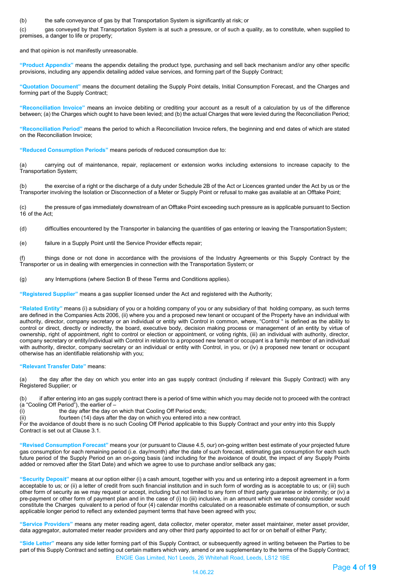(b) the safe conveyance of gas by that Transportation System is significantly at risk; or

(c) gas conveyed by that Transportation System is at such a pressure, or of such a quality, as to constitute, when supplied to premises, a danger to life or property;

and that opinion is not manifestly unreasonable.

**"Product Appendix"** means the appendix detailing the product type, purchasing and sell back mechanism and/or any other specific provisions, including any appendix detailing added value services, and forming part of the Supply Contract;

**"Quotation Document"** means the document detailing the Supply Point details, Initial Consumption Forecast, and the Charges and forming part of the Supply Contract;

**"Reconciliation Invoice"** means an invoice debiting or crediting your account as a result of a calculation by us of the difference between; (a) the Charges which ought to have been levied; and (b) the actual Charges that were levied during the Reconciliation Period;

**"Reconciliation Period"** means the period to which a Reconciliation Invoice refers, the beginning and end dates of which are stated on the Reconciliation Invoice;

**"Reduced Consumption Periods"** means periods of reduced consumption due to:

(a) carrying out of maintenance, repair, replacement or extension works including extensions to increase capacity to the Transportation System;

(b) the exercise of a right or the discharge of a duty under Schedule 2B of the Act or Licences granted under the Act by us or the Transporter involving the Isolation or Disconnection of a Meter or Supply Point or refusal to make gas available at an Offtake Point;

(c) the pressure of gas immediately downstream of an Offtake Point exceeding such pressure as is applicable pursuant to Section 16 of the Act;

(d) difficulties encountered by the Transporter in balancing the quantities of gas entering or leaving the TransportationSystem;

(e) failure in a Supply Point until the Service Provider effects repair;

(f) things done or not done in accordance with the provisions of the Industry Agreements or this Supply Contract by the Transporter or us in dealing with emergencies in connection with the Transportation System; or

(g) any Interruptions (where Section B of these Terms and Conditions applies).

**"Registered Supplier"** means a gas supplier licensed under the Act and registered with the Authority;

**"Related Entity"** means (i) a subsidiary of you or a holding company of you or any subsidiary of that holding company, as such terms are defined in the Companies Acts 2006, (ii) where you and a proposed new tenant or occupant of the Property have an individual with authority, director, company secretary or an individual or entity with Control in common, where, "Control " is defined as the ability to control or direct, directly or indirectly, the board, executive body, decision making process or management of an entity by virtue of ownership, right of appointment, right to control or election or appointment, or voting rights, (iii) an individual with authority, director, company secretary or entity/individual with Control in relation to a proposed new tenant or occupant is a family member of an individual with authority, director, company secretary or an individual or entity with Control, in you, or (iv) a proposed new tenant or occupant otherwise has an identifiable relationship with you;

# **"Relevant Transfer Date"** means:

(a) the day after the day on which you enter into an gas supply contract (including if relevant this Supply Contract) with any Registered Supplier; or

(b) if after entering into an gas supply contract there is a period of time within which you may decide not to proceed with the contract (a "Cooling Off Period"), the earlier of –<br>(i) the day after the day or

the day after the day on which that Cooling Off Period ends;

(ii) fourteen (14) days after the day on which you entered into a new contract.

For the avoidance of doubt there is no such Cooling Off Period applicable to this Supply Contract and your entry into this Supply Contract is set out at Clause 3.1.

**"Revised Consumption Forecast"** means your (or pursuant to Clause 4.5, our) on-going written best estimate of your projected future gas consumption for each remaining period (i.e. day/month) after the date of such forecast, estimating gas consumption for each such future period of the Supply Period on an on-going basis (and including for the avoidance of doubt, the impact of any Supply Points added or removed after the Start Date) and which we agree to use to purchase and/or sellback any gas;

**"Security Deposit"** means at our option either (i) a cash amount, together with you and us entering into a deposit agreement in a form acceptable to us; or (ii) a letter of credit from such financial institution and in such form of wording as is acceptable to us; or (iii) such other form of security as we may request or accept, including but not limited to any form of third party guarantee or indemnity; or (iv) a pre-payment or other form of payment plan and in the case of (i) to (iii) inclusive, in an amount which we reasonably consider would constitute the Charges quivalent to a period of four (4) calendar months calculated on a reasonable estimate of consumption, or such applicable longer period to reflect any extended payment terms that have been agreed with you;

**"Service Providers"** means any meter reading agent, data collector, meter operator, meter asset maintainer, meter asset provider, data aggregator, automated meter reader providers and any other third party appointed to act for or on behalf of either Party;

ENGIE Gas Limited, No1 Leeds, 26 Whitehall Road, Leeds, LS12 1BE **"Side Letter"** means any side letter forming part of this Supply Contract, or subsequently agreed in writing between the Parties to be part of this Supply Contract and setting out certain matters which vary, amend or are supplementary to the terms of the Supply Contract;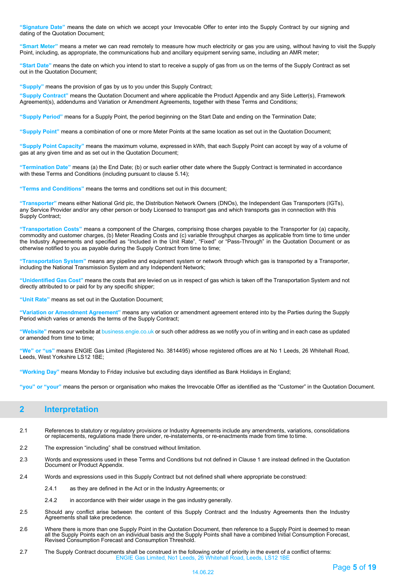**"Signature Date"** means the date on which we accept your Irrevocable Offer to enter into the Supply Contract by our signing and dating of the Quotation Document;

**"Smart Meter"** means a meter we can read remotely to measure how much electricity or gas you are using, without having to visit the Supply Point, including, as appropriate, the communications hub and ancillary equipment serving same, including an AMR meter;

**"Start Date"** means the date on which you intend to start to receive a supply of gas from us on the terms of the Supply Contract as set out in the Quotation Document;

**"Supply"** means the provision of gas by us to you under this Supply Contract;

**"Supply Contract"** means the Quotation Document and where applicable the Product Appendix and any Side Letter(s), Framework Agreement(s), addendums and Variation or Amendment Agreements, together with these Terms and Conditions;

**"Supply Period"** means for a Supply Point, the period beginning on the Start Date and ending on the Termination Date;

**"Supply Point"** means a combination of one or more Meter Points at the same location as set out in the Quotation Document;

**"Supply Point Capacity"** means the maximum volume, expressed in kWh, that each Supply Point can accept by way of a volume of gas at any given time and as set out in the Quotation Document;

**"Termination Date"** means (a) the End Date; (b) or such earlier other date where the Supply Contract is terminated in accordance with these Terms and Conditions (including pursuant to clause 5.14);

**"Terms and Conditions"** means the terms and conditions set out in this document;

**"Transporter"** means either National Grid plc, the Distribution Network Owners (DNOs), the Independent Gas Transporters (IGTs), any Service Provider and/or any other person or body Licensed to transport gas and which transports gas in connection with this Supply Contract;

**"Transportation Costs"** means a component of the Charges, comprising those charges payable to the Transporter for (a) capacity, commodity and customer charges, (b) Meter Reading Costs and (c) variable throughput charges as applicable from time to time under the Industry Agreements and specified as "Included in the Unit Rate", "Fixed" or "Pass-Through" in the Quotation Document or as otherwise notified to you as payable during the Supply Contract from time to time;

**"Transportation System"** means any pipeline and equipment system or network through which gas is transported by a Transporter, including the National Transmission System and any Independent Network;

**"Unidentified Gas Cost"** means the costs that are levied on us in respect of gas which is taken off the Transportation System and not directly attributed to or paid for by any specific shipper;

**"Unit Rate"** means as set out in the Quotation Document;

**"Variation or Amendment Agreement"** means any variation or amendment agreement entered into by the Parties during the Supply Period which varies or amends the terms of the Supply Contract;

**"Website"** means our website at business.engie.co.uk or such other address as we notify you of in writing and in each case as updated or amended from time to time;

**"We" or "us"** means ENGIE Gas Limited (Registered No. 3814495) whose registered offices are at No 1 Leeds, 26 Whitehall Road, Leeds, West Yorkshire LS12 1BE;

**"Working Day"** means Monday to Friday inclusive but excluding days identified as Bank Holidays in England;

**"you" or "your"** means the person or organisation who makes the Irrevocable Offer as identified as the "Customer" in the Quotation Document.

# <span id="page-4-0"></span>**2 Interpretation**

- 2.1 References to statutory or regulatory provisions or Industry Agreements include any amendments, variations, consolidations or replacements, regulations made there under, re-instatements, or re-enactments made from time to time.
- 2.2 The expression "including" shall be construed without limitation.
- 2.3 Words and expressions used in these Terms and Conditions but not defined in Clause 1 are instead defined in the Quotation Document or Product Appendix.
- 2.4 Words and expressions used in this Supply Contract but not defined shall where appropriate be construed:
	- 2.4.1 as they are defined in the Act or in the Industry Agreements; or
	- 2.4.2 in accordance with their wider usage in the gas industry generally.
- 2.5 Should any conflict arise between the content of this Supply Contract and the Industry Agreements then the Industry Agreements shall take precedence.
- 2.6 Where there is more than one Supply Point in the Quotation Document, then reference to a Supply Point is deemed to mean all the Supply Points each on an individual basis and the Supply Points shall have a combined Initial Consumption Forecast, Revised Consumption Forecast and Consumption Threshold.
- ENGIE Gas Limited, No1 Leeds, 26 Whitehall Road, Leeds, LS12 1BE 2.7 The Supply Contract documents shall be construed in the following order of priority in the event of a conflict of terms: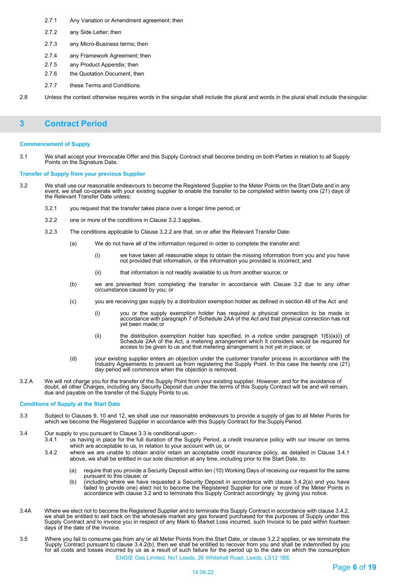- 2.7.1 Any Variation or Amendment agreement; then
- 2.7.2 any Side Letter; then
- 2.7.3 any Micro-Business terms; then
- 2.7.4 any Framework Agreement; then
- 2.7.5 any Product Appendix; then
- 2.7.6 the Quotation Document, then
- 2.7.7 these Terms and Conditions.

2.8 Unless the context otherwise requires words in the singular shall include the plural and words in the plural shall include thesingular.

# <span id="page-5-0"></span>**3 Contract Period**

### **Commencement of Supply**

3.1 We shall accept your Irrevocable Offer and this Supply Contract shall become binding on both Parties in relation to all Supply Points on the Signature Date.

### **Transfer of Supply from your previous Supplier**

- 3.2 We shall use our reasonable endeavours to become the Registered Supplier to the Meter Points on the Start Date and in any event, we shall co-operate with your existing supplier to enable the transfer to be completed within twenty one (21) days of the Relevant Transfer Date unless:
	- 3.2.1 you request that the transfer takes place over a longer time period; or
	- 3.2.2 one or more of the conditions in Clause 3.2.3 applies.
	- 3.2.3 The conditions applicable to Clause 3.2.2 are that, on or after the Relevant Transfer Date:
		- (a) We do not have all of the information required in order to complete the transfer and:
			- (i) we have taken all reasonable steps to obtain the missing information from you and you have not provided that information, or the information you provided is incorrect; and
			- (ii) that information is not readily available to us from another source; or
		- (b) we are prevented from completing the transfer in accordance with Clause 3.2 due to any other circumstance caused by you; or
		- (c) you are receiving gas supply by a distribution exemption holder as defined in section 48 of the Act and
			- (i) you or the supply exemption holder has required a physical connection to be made in accordance with paragraph 7 of Schedule 2AA of the Act and that physical connection has not yet been made; or
			- (ii) the distribution exemption holder has specified, in a notice under paragraph 1(6)(a)(i) of Schedule 2AA of the Act, a metering arrangement which it considers would be required for access to be given to us and that metering arrangement is not yet in place; or
		- (d) your existing supplier enters an objection under the customer transfer process in accordance with the Industry Agreements to prevent us from registering the Supply Point. In this case the twenty one (21) day period will commence when the objection is removed.
- 3.2.A We will not charge you for the transfer of the Supply Point from your existing supplier. However, and for the avoidance of doubt, all other Charges, including any Security Deposit due under the terms of this Supply Contract will be and will remain, due and payable on the transfer of the Supply Points to us.

### **Conditions of Supply at the Start Date**

- 3.3 Subject to Clauses 9, 10 and 12, we shall use our reasonable endeavours to provide a supply of gas to all Meter Points for which we become the Registered Supplier in accordance with this Supply Contract for the Supply Period.
- 3.4 Our supply to you pursuant to Clause 3.3 is conditional upon:-
	- 3.4.1 us having in place for the full duration of the Supply Period, a credit insurance policy with our insurer on terms which are acceptable to us, in relation to your account with us; or
	- 3.4.2 where we are unable to obtain and/or retain an acceptable credit insurance policy, as detailed in Clause 3.4.1 above, we shall be entitled in our sole discretion at any time, including prior to the Start Date, to:
		- (a) require that you provide a Security Deposit within ten (10) Working Days of receiving our request for the same pursuant to this clause; or
		- (b) (including where we have requested a Security Deposit in accordance with clause 3.4.2(a) and you have failed to provide one) elect not to become the Registered Supplier for one or more of the Meter Points in accordance with clause 3.2 and to terminate this Supply Contract accordingly by giving you notice.
- 3.4A Where we elect not to become the Registered Supplier and to terminate this Supply Contract in accordance with clause 3.4.2, we shall be entitled to sell back on the wholesale market any gas forward purchased for the purposes of Supply under this Supply Contract and to invoice you in respect of any Mark to Market Loss incurred, such Invoice to be paid within fourteen days of the date of the Invoice.
- ENGIE Gas Limited, No1 Leeds, 26 Whitehall Road, Leeds, LS12 1BE 3.5 Where you fail to consume gas from any or all Meter Points from the Start Date, or clause 3.2.2 applies, or we terminate the<br>Supply Contract pursuant to clause 3.4.2(b), then we shall be entitled to recover from you an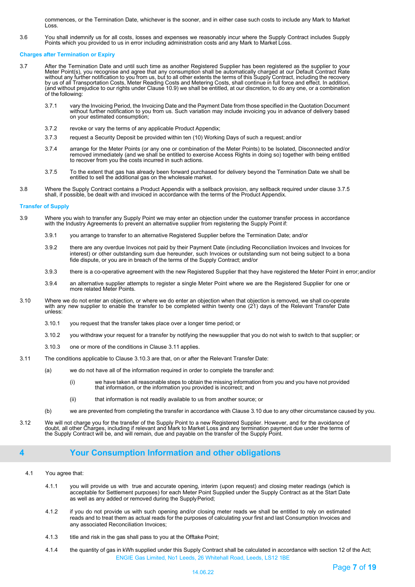commences, or the Termination Date, whichever is the sooner, and in either case such costs to include any Mark to Market Loss.

3.6 You shall indemnify us for all costs, losses and expenses we reasonably incur where the Supply Contract includes Supply Points which you provided to us in error including administration costs and any Mark to Market Loss.

## **Charges after Termination or Expiry**

- 3.7 After the Termination Date and until such time as another Registered Supplier has been registered as the supplier to your Meter Point(s), you recognise and agree that any consumption shall be automatically charged at our Default Contract Rate<br>without any further notification to you from us, but to all other extents the terms of this Supply Co by us of all Transportation Costs, Meter Reading Costs and Metering Costs, shall continue in full force and effect. In addition,<br>(and without prejudice to our rights under Clause 10.9) we shall be entitled, at our discreti of the following:
	- 3.7.1 vary the Invoicing Period, the Invoicing Date and the Payment Date from those specified in the Quotation Document without further notification to you from us. Such variation may include invoicing you in advance of delivery based on your estimated consumption;
	- 3.7.2 revoke or vary the terms of any applicable Product Appendix;
	- 3.7.3 request a Security Deposit be provided within ten (10) Working Days of such a request; and/or
	- 3.7.4 arrange for the Meter Points (or any one or combination of the Meter Points) to be Isolated, Disconnected and/or removed immediately (and we shall be entitled to exercise Access Rights in doing so) together with being entitled to recover from you the costs incurred in such actions.
	- 3.7.5 To the extent that gas has already been forward purchased for delivery beyond the Termination Date we shall be entitled to sell the additional gas on the wholesale market.
- 3.8 Where the Supply Contract contains a Product Appendix with a sellback provision, any sellback required under clause 3.7.5 shall, if possible, be dealt with and invoiced in accordance with the terms of the Product Appendix.

### **Transfer of Supply**

- 3.9 Where you wish to transfer any Supply Point we may enter an objection under the customer transfer process in accordance with the Industry Agreements to prevent an alternative supplier from registering the Supply Point if:
	- 3.9.1 you arrange to transfer to an alternative Registered Supplier before the Termination Date; and/or
	- 3.9.2 there are any overdue Invoices not paid by their Payment Date (including Reconciliation Invoices and Invoices for interest) or other outstanding sum due hereunder, such Invoices or outstanding sum not being subject to a bona fide dispute, or you are in breach of the terms of the Supply Contract; and/or
	- 3.9.3 there is a co-operative agreement with the new Registered Supplier that they have registered the Meter Point in error;and/or
	- 3.9.4 an alternative supplier attempts to register a single Meter Point where we are the Registered Supplier for one or more related Meter Points.
- 3.10 Where we do not enter an objection, or where we do enter an objection when that objection is removed, we shall co-operate with any new supplier to enable the transfer to be completed within twenty one (21) days of the Relevant Transfer Date unless:
	- 3.10.1 you request that the transfer takes place over a longer time period; or
	- 3.10.2 you withdraw your request for a transfer by notifying the newsupplier that you do not wish to switch to that supplier; or
	- 3.10.3 one or more of the conditions in Clause 3.11 applies.
- 3.11 The conditions applicable to Clause 3.10.3 are that, on or after the Relevant Transfer Date:
	- (a) we do not have all of the information required in order to complete the transfer and:
		- (i) we have taken all reasonable steps to obtain the missing information from you and you have not provided that information, or the information you provided is incorrect; and
		- (ii) that information is not readily available to us from another source; or
	- (b) we are prevented from completing the transfer in accordance with Clause 3.10 due to any other circumstance caused by you.
- 3.12 We will not charge you for the transfer of the Supply Point to a new Registered Supplier. However, and for the avoidance of doubt, all other Charges, including if relevant and Mark to Market Loss and any termination payment due under the terms of<br>the Supply Contract will be, and will remain, due and payable on the transfer of the Supply Point.

# <span id="page-6-0"></span>**4 Your Consumption Information and other obligations**

- 4.1 You agree that:
	- 4.1.1 you will provide us with true and accurate opening, interim (upon request) and closing meter readings (which is acceptable for Settlement purposes) for each Meter Point Supplied under the Supply Contract as at the Start Date as well as any added or removed during the Supply Period;
	- 4.1.2 if you do not provide us with such opening and/or closing meter reads we shall be entitled to rely on estimated reads and to treat them as actual reads for the purposes of calculating your first and last Consumption Invoices and any associated Reconciliation Invoices;
	- 4.1.3 title and risk in the gas shall pass to you at the Offtake Point;
	- ENGIE Gas Limited, No1 Leeds, 26 Whitehall Road, Leeds, LS12 1BE 4.1.4 the quantity of gas in kWh supplied under this Supply Contract shall be calculated in accordance with section 12 of the Act;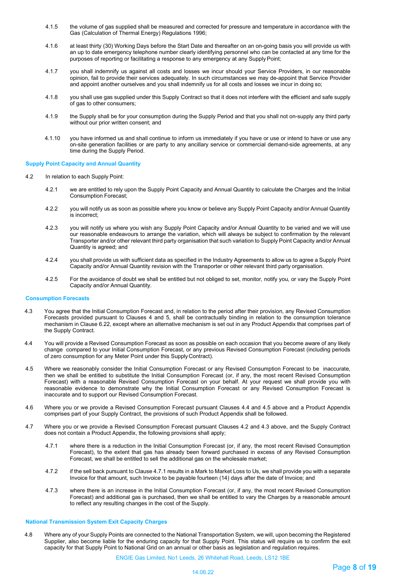- 4.1.5 the volume of gas supplied shall be measured and corrected for pressure and temperature in accordance with the Gas (Calculation of Thermal Energy) Regulations 1996;
- 4.1.6 at least thirty (30) Working Days before the Start Date and thereafter on an on-going basis you will provide us with an up to date emergency telephone number clearly identifying personnel who can be contacted at any time for the purposes of reporting or facilitating a response to any emergency at any Supply Point;
- 4.1.7 you shall indemnify us against all costs and losses we incur should your Service Providers, in our reasonable opinion, fail to provide their services adequately. In such circumstances we may de-appoint that Service Provider and appoint another ourselves and you shall indemnify us for all costs and losses we incur in doing so;
- 4.1.8 you shall use gas supplied under this Supply Contract so that it does not interfere with the efficient and safe supply of gas to other consumers;
- 4.1.9 the Supply shall be for your consumption during the Supply Period and that you shall not on-supply any third party without our prior written consent; and
- 4.1.10 you have informed us and shall continue to inform us immediately if you have or use or intend to have or use any on-site generation facilities or are party to any ancillary service or commercial demand-side agreements, at any time during the Supply Period.

# **Supply Point Capacity and Annual Quantity**

- 4.2 In relation to each Supply Point:
	- 4.2.1 we are entitled to rely upon the Supply Point Capacity and Annual Quantity to calculate the Charges and the Initial Consumption Forecast;
	- 4.2.2 you will notify us as soon as possible where you know or believe any Supply Point Capacity and/or Annual Quantity is incorrect;
	- 4.2.3 you will notify us where you wish any Supply Point Capacity and/or Annual Quantity to be varied and we will use our reasonable endeavours to arrange the variation, which will always be subject to confirmation by the relevant Transporter and/or other relevant third party organisation that such variation to Supply Point Capacity and/or Annual Quantity is agreed; and
	- 4.2.4 you shall provide us with sufficient data as specified in the Industry Agreements to allow us to agree a Supply Point Capacity and/or Annual Quantity revision with the Transporter or other relevant third party organisation.
	- 4.2.5 For the avoidance of doubt we shall be entitled but not obliged to set, monitor, notify you, or vary the Supply Point Capacity and/or Annual Quantity.

### **Consumption Forecasts**

- 4.3 You agree that the Initial Consumption Forecast and, in relation to the period after their provision, any Revised Consumption Forecasts provided pursuant to Clauses 4 and 5, shall be contractually binding in relation to the consumption tolerance mechanism in Clause 6.22, except where an alternative mechanism is set out in any Product Appendix that comprises part of the Supply Contract.
- 4.4 You will provide a Revised Consumption Forecast as soon as possible on each occasion that you become aware of any likely change compared to your Initial Consumption Forecast, or any previous Revised Consumption Forecast (including periods of zero consumption for any Meter Point under this SupplyContract).
- 4.5 Where we reasonably consider the Initial Consumption Forecast or any Revised Consumption Forecast to be inaccurate, then we shall be entitled to substitute the Initial Consumption Forecast (or, if any, the most recent Revised Consumption Forecast) with a reasonable Revised Consumption Forecast on your behalf. At your request we shall provide you with reasonable evidence to demonstrate why the Initial Consumption Forecast or any Revised Consumption Forecast is inaccurate and to support our Revised Consumption Forecast.
- 4.6 Where you or we provide a Revised Consumption Forecast pursuant Clauses 4.4 and 4.5 above and a Product Appendix comprises part of your Supply Contract, the provisions of such Product Appendix shall be followed.
- 4.7 Where you or we provide a Revised Consumption Forecast pursuant Clauses 4.2 and 4.3 above, and the Supply Contract does not contain a Product Appendix, the following provisions shall apply;
	- 4.7.1 where there is a reduction in the Initial Consumption Forecast (or, if any, the most recent Revised Consumption Forecast), to the extent that gas has already been forward purchased in excess of any Revised Consumption Forecast, we shall be entitled to sell the additional gas on the wholesale market;
	- 4.7.2 if the sell back pursuant to Clause 4.7.1 results in a Mark to Market Loss to Us, we shall provide you with a separate Invoice for that amount, such Invoice to be payable fourteen (14) days after the date of Invoice; and
	- 4.7.3 where there is an increase in the Initial Consumption Forecast (or, if any, the most recent Revised Consumption Forecast) and additional gas is purchased, then we shall be entitled to vary the Charges by a reasonable amount to reflect any resulting changes in the cost of the Supply.

### **National Transmission System Exit Capacity Charges**

4.8 Where any of your Supply Points are connected to the National Transportation System, we will, upon becoming the Registered Supplier, also become liable for the enduring capacity for that Supply Point. This status will require us to confirm the exit capacity for that Supply Point to National Grid on an annual or other basis as legislation and regulation requires.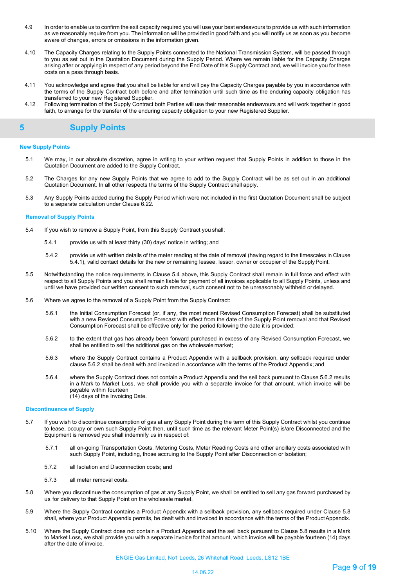- 4.9 In order to enable us to confirm the exit capacity required you will use your best endeavours to provide us with such information as we reasonably require from you. The information will be provided in good faith and you will notify us as soon as you become aware of changes, errors or omissions in the information given.
- 4.10 The Capacity Charges relating to the Supply Points connected to the National Transmission System, will be passed through to you as set out in the Quotation Document during the Supply Period. Where we remain liable for the Capacity Charges arising after or applying in respect of any period beyond the End Date of this Supply Contract and, we will invoice you for these costs on a pass through basis.
- 4.11 You acknowledge and agree that you shall be liable for and will pay the Capacity Charges payable by you in accordance with the terms of the Supply Contract both before and after termination until such time as the enduring capacity obligation has transferred to your new Registered Supplier.
- 4.12 Following termination of the Supply Contract both Parties will use their reasonable endeavours and will work together in good faith, to arrange for the transfer of the enduring capacity obligation to your new Registered Supplier.

# <span id="page-8-0"></span>**5 Supply Points**

# **New Supply Points**

- 5.1 We may, in our absolute discretion, agree in writing to your written request that Supply Points in addition to those in the Quotation Document are added to the Supply Contract.
- 5.2 The Charges for any new Supply Points that we agree to add to the Supply Contract will be as set out in an additional Quotation Document. In all other respects the terms of the Supply Contract shall apply.
- 5.3 Any Supply Points added during the Supply Period which were not included in the first Quotation Document shall be subject to a separate calculation under Clause 6.22.

### **Removal of Supply Points**

- 5.4 If you wish to remove a Supply Point, from this Supply Contract you shall:
	- 5.4.1 provide us with at least thirty (30) days' notice in writing; and
	- 5.4.2 provide us with written details of the meter reading at the date of removal (having regard to the timescales in Clause 5.4.1), valid contact details for the new or remaining lessee, lessor, owner or occupier of the SupplyPoint.
- 5.5 Notwithstanding the notice requirements in Clause 5.4 above, this Supply Contract shall remain in full force and effect with respect to all Supply Points and you shall remain liable for payment of all invoices applicable to all Supply Points, unless and until we have provided our written consent to such removal, such consent not to be unreasonably withheld or delayed.
- 5.6 Where we agree to the removal of a Supply Point from the Supply Contract:
	- 5.6.1 the Initial Consumption Forecast (or, if any, the most recent Revised Consumption Forecast) shall be substituted with a new Revised Consumption Forecast with effect from the date of the Supply Point removal and that Revised Consumption Forecast shall be effective only for the period following the date it is provided;
	- 5.6.2 to the extent that gas has already been forward purchased in excess of any Revised Consumption Forecast, we shall be entitled to sell the additional gas on the wholesale market;
	- 5.6.3 where the Supply Contract contains a Product Appendix with a sellback provision, any sellback required under clause 5.6.2 shall be dealt with and invoiced in accordance with the terms of the Product Appendix; and
	- 5.6.4 where the Supply Contract does not contain a Product Appendix and the sell back pursuant to Clause 5.6.2 results in a Mark to Market Loss, we shall provide you with a separate invoice for that amount, which invoice will be payable within fourteen (14) days of the Invoicing Date.

# **Discontinuance of Supply**

- 5.7 If you wish to discontinue consumption of gas at any Supply Point during the term of this Supply Contract whilst you continue to lease, occupy or own such Supply Point then, until such time as the relevant Meter Point(s) is/are Disconnected and the Equipment is removed you shall indemnify us in respect of:
	- 5.7.1 all on-going Transportation Costs, Metering Costs, Meter Reading Costs and other ancillary costs associated with such Supply Point, including, those accruing to the Supply Point after Disconnection or Isolation;
	- 5.7.2 all Isolation and Disconnection costs; and
	- 5.7.3 all meter removal costs.
- 5.8 Where you discontinue the consumption of gas at any Supply Point, we shall be entitled to sell any gas forward purchased by us for delivery to that Supply Point on the wholesale market.
- 5.9 Where the Supply Contract contains a Product Appendix with a sellback provision, any sellback required under Clause 5.8 shall, where your Product Appendix permits, be dealt with and invoiced in accordance with the terms of the ProductAppendix.
- 5.10 Where the Supply Contract does not contain a Product Appendix and the sell back pursuant to Clause 5.8 results in a Mark to Market Loss, we shall provide you with a separate invoice for that amount, which invoice will be payable fourteen (14) days after the date of invoice.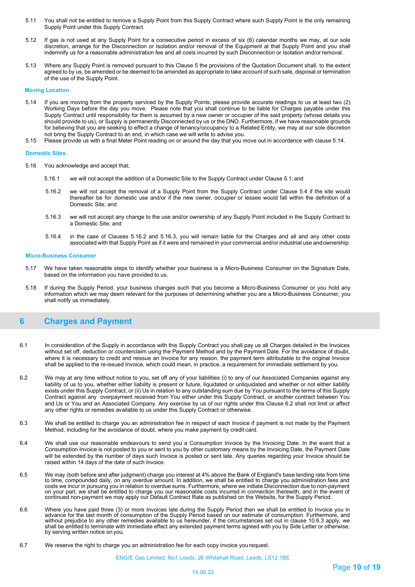- 5.11 You shall not be entitled to remove a Supply Point from this Supply Contract where such Supply Point is the only remaining Supply Point under this Supply Contract.
- 5.12 If gas is not used at any Supply Point for a consecutive period in excess of six (6) calendar months we may, at our sole discretion, arrange for the Disconnection or Isolation and/or removal of the Equipment at that Supply Point and you shall indemnify us for a reasonable administration fee and all costs incurred by such Disconnection or Isolation and/or removal.
- 5.13 Where any Supply Point is removed pursuant to this Clause 5 the provisions of the Quotation Document shall, to the extent agreed to by us, be amended or be deemed to be amended as appropriate to take account of such sale, disposal or termination of the use of the Supply Point.

### **Moving Location**

- 5.14 If you are moving from the property serviced by the Supply Points, please provide accurate readings to us at least two (2) Working Days before the day you move. Please note that you shall continue to be liable for Charges payable under this Supply Contract until responsibility for them is assumed by a new owner or occupier of the said property (whose details you should provide to us), or Supply is permanently Disconnected by us or the DNO. Furthermore, if we have reasonable grounds for believing that you are seeking to effect a change of tenancy/occupancy to a Related Entity, we may at our sole discretion not bring the Supply Contract to an end, in which case we will write to advise you.
- 5.15 Please provide us with a final Meter Point reading on or around the day that you move out in accordance with clause 5.14.

### **Domestic Sites**

- 5.16 You acknowledge and accept that;
	- 5.16.1 we will not accept the addition of a Domestic Site to the Supply Contract under Clause 5.1; and
	- 5.16.2 we will not accept the removal of a Supply Point from the Supply Contract under Clause 5.4 if the site would thereafter be for domestic use and/or if the new owner, occupier or lessee would fall within the definition of a Domestic Site; and
	- 5.16.3 we will not accept any change to the use and/or ownership of any Supply Point included in the Supply Contract to a Domestic Site; and
	- 5.16.4 in the case of Clauses 5.16.2 and 5.16.3, you will remain liable for the Charges and all and any other costs associated with that Supply Point as if it were and remained in your commercial and/or industrial use andownership.

#### **Micro-Business Consumer**

- 5.17 We have taken reasonable steps to identify whether your business is a Micro-Business Consumer on the Signature Date, based on the information you have provided to us.
- 5.18 If during the Supply Period, your business changes such that you become a Micro-Business Consumer or you hold any information which we may deem relevant for the purposes of determining whether you are a Micro-Business Consumer, you shall notify us immediately.

# <span id="page-9-0"></span>**6 Charges and Payment**

- 6.1 In consideration of the Supply in accordance with this Supply Contract you shall pay us all Charges detailed in the Invoices without set off, deduction or counterclaim using the Payment Method and by the Payment Date. For the avoidance of doubt, where it is necessary to credit and reissue an Invoice for any reason, the payment term attributable to the original Invoice shall be applied to the re-issued Invoice, which could mean, in practice, a requirement for immediate settlement by you.
- 6.2 We may at any time without notice to you, set off any of your liabilities (i) to any of our Associated Companies against any liability of us to you, whether either liability is present or future, liquidated or unliquidated and whether or not either liability exists under this Supply Contract, or (ii) Us in relation to any outstanding sum due by You pursuant to the terms of this Supply Contract against any overpayment received from You either under this Supply Contract, or another contract between You and Us or You and an Associated Company. Any exercise by us of our rights under this Clause 6.2 shall not limit or affect any other rights or remedies available to us under this Supply Contract or otherwise.
- 6.3 We shall be entitled to charge you an administration fee in respect of each Invoice if payment is not made by the Payment Method, including for the avoidance of doubt, where you make payment by credit card.
- 6.4 We shall use our reasonable endeavours to send you a Consumption Invoice by the Invoicing Date. In the event that a Consumption Invoice is not posted to you or sent to you by other customary means by the Invoicing Date, the Payment Date will be extended by the number of days such Invoice is posted or sent late. Any queries regarding your Invoice should be raised within 14 days of the date of such Invoice.
- 6.5 We may (both before and after judgment) charge you interest at 4% above the Bank of England's base lending rate from time to time, compounded daily, on any overdue amount. In addition, we shall be entitled to charge you administration fees and<br>costs we incur in pursuing you in relation to overdue sums. Furthermore, where we initiate Disconnec on your part, we shall be entitled to charge you our reasonable costs incurred in connection therewith, and in the event of<br>continued non-payment we may apply our Default Contract Rate as published on the Website, for the
- 6.6 Where you have paid three (3) or more Invoices late during the Supply Period then we shall be entitled to Invoice you in<br>advance for the last month of consumption of the Supply Period based on our estimate of consumpti shall be entitled to terminate with immediate effect any extended payment terms agreed with you by Side Letter or otherwise, by serving written notice on you,
- 6.7 We reserve the right to charge you an administration fee for each copy invoice you request.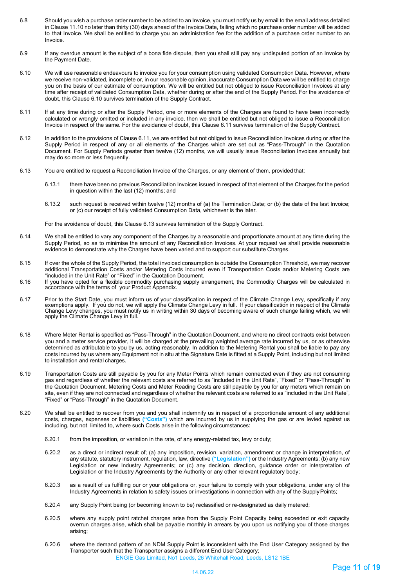- 6.8 Should you wish a purchase order number to be added to an Invoice, you must notify us by email to the email address detailed in Clause 11.10 no later than thirty (30) days ahead of the Invoice Date, failing which no purchase order number will be added to that Invoice. We shall be entitled to charge you an administration fee for the addition of a purchase order number to an Invoice.
- 6.9 If any overdue amount is the subject of a bona fide dispute, then you shall still pay any undisputed portion of an Invoice by the Payment Date.
- 6.10 We will use reasonable endeavours to invoice you for your consumption using validated Consumption Data. However, where we receive non-validated, incomplete or, in our reasonable opinion, inaccurate Consumption Data we will be entitled to charge you on the basis of our estimate of consumption. We will be entitled but not obliged to issue Reconciliation Invoices at any time after receipt of validated Consumption Data, whether during or after the end of the Supply Period. For the avoidance of doubt, this Clause 6.10 survives termination of the Supply Contract.
- 6.11 If at any time during or after the Supply Period, one or more elements of the Charges are found to have been incorrectly calculated or wrongly omitted or included in any invoice, then we shall be entitled but not obliged to issue a Reconciliation Invoice in respect of the same. For the avoidance of doubt, this Clause 6.11 survives termination of the Supply Contract.
- 6.12 In addition to the provisions of Clause 6.11, we are entitled but not obliged to issue Reconciliation Invoices during or after the Supply Period in respect of any or all elements of the Charges which are set out as "Pass-Through" in the Quotation Document. For Supply Periods greater than twelve (12) months, we will usually issue Reconciliation Invoices annually but may do so more or less frequently.
- 6.13 You are entitled to request a Reconciliation Invoice of the Charges, or any element of them, provided that:
	- 6.13.1 there have been no previous Reconciliation Invoices issued in respect of that element of the Charges for the period in question within the last (12) months; and
	- 6.13.2 such request is received within twelve (12) months of (a) the Termination Date; or (b) the date of the last Invoice; or (c) our receipt of fully validated Consumption Data, whichever is the later.

For the avoidance of doubt, this Clause 6.13 survives termination of the Supply Contract.

- 6.14 We shall be entitled to vary any component of the Charges by a reasonable and proportionate amount at any time during the Supply Period, so as to minimise the amount of any Reconciliation Invoices. At your request we shall provide reasonable evidence to demonstrate why the Charges have been varied and to support our substitute Charges.
- 6.15 If over the whole of the Supply Period, the total invoiced consumption is outside the Consumption Threshold, we may recover additional Transportation Costs and/or Metering Costs incurred even if Transportation Costs and/or Metering Costs are "included in the Unit Rate" or "Fixed" in the Quotation Document.
- 6.16 If you have opted for a flexible commodity purchasing supply arrangement, the Commodity Charges will be calculated in accordance with the terms of your Product Appendix.
- 6.17 Prior to the Start Date, you must inform us of your classification in respect of the Climate Change Levy, specifically if any exemptions apply. If you do not, we will apply the Climate Change Levy in full. If your classification in respect of the Climate Change Levy changes, you must notify us in writing within 30 days of becoming aware of such change failing which, we will apply the Climate Change Levy in full.
- 6.18 Where Meter Rental is specified as "Pass-Through" in the Quotation Document, and where no direct contracts exist between you and a meter service provider, it will be charged at the prevailing weighted average rate incurred by us, or as otherwise determined as attributable to you by us, acting reasonably. In addition to the Metering Rental you shall be liable to pay any costs incurred by us where any Equipment not in situ at the Signature Date is fitted at a Supply Point, including but not limited to installation and rental charges.
- 6.19 Transportation Costs are still payable by you for any Meter Points which remain connected even if they are not consuming gas and regardless of whether the relevant costs are referred to as "included in the Unit Rate", "Fixed" or "Pass-Through" in the Quotation Document. Metering Costs and Meter Reading Costs are still payable by you for any meters which remain on site, even if they are not connected and regardless of whether the relevant costs are referred to as "included in the Unit Rate", "Fixed" or "Pass-Through" in the Quotation Document.
- 6.20 We shall be entitled to recover from you and you shall indemnify us in respect of a proportionate amount of any additional costs, charges, expenses or liabilities **("Costs")** which are incurred by us in supplying the gas or are levied against us including, but not limited to, where such Costs arise in the following circumstances:
	- 6.20.1 from the imposition, or variation in the rate, of any energy-related tax, levy or duty;
	- 6.20.2 as a direct or indirect result of; (a) any imposition, revision, variation, amendment or change in interpretation, of any statute, statutory instrument, regulation, law, directive **("Legislation")** or the Industry Agreements; (b) any new Legislation or new Industry Agreements; or (c) any decision, direction, guidance order or interpretation of Legislation or the Industry Agreements by the Authority or any other relevant regulatory body;
	- 6.20.3 as a result of us fulfilling our or your obligations or, your failure to comply with your obligations, under any of the Industry Agreements in relation to safety issues or investigations in connection with any of the SupplyPoints;
	- 6.20.4 any Supply Point being (or becoming known to be) reclassified or re-designated as daily metered;
	- 6.20.5 where any supply point ratchet charges arise from the Supply Point Capacity being exceeded or exit capacity overrun charges arise, which shall be payable monthly in arrears by you upon us notifying you of those charges arising;
	- ENGIE Gas Limited, No1 Leeds, 26 Whitehall Road, Leeds, LS12 1BE 6.20.6 where the demand pattern of an NDM Supply Point is inconsistent with the End User Category assigned by the Transporter such that the Transporter assigns a different End User Category;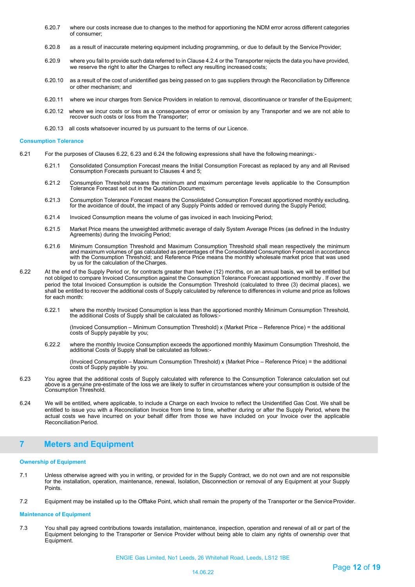- 6.20.7 where our costs increase due to changes to the method for apportioning the NDM error across different categories of consumer;
- 6.20.8 as a result of inaccurate metering equipment including programming, or due to default by the ServiceProvider;
- 6.20.9 where you fail to provide such data referred to in Clause 4.2.4 or the Transporter rejects the data you have provided, we reserve the right to alter the Charges to reflect any resulting increased costs;
- 6.20.10 as a result of the cost of unidentified gas being passed on to gas suppliers through the Reconciliation by Difference or other mechanism; and
- 6.20.11 where we incur charges from Service Providers in relation to removal, discontinuance or transfer of theEquipment;
- 6.20.12 where we incur costs or loss as a consequence of error or omission by any Transporter and we are not able to recover such costs or loss from the Transporter;
- 6.20.13 all costs whatsoever incurred by us pursuant to the terms of our Licence.

#### **Consumption Tolerance**

- 6.21 For the purposes of Clauses 6.22, 6.23 and 6.24 the following expressions shall have the following meanings:-
	- 6.21.1 Consolidated Consumption Forecast means the Initial Consumption Forecast as replaced by any and all Revised Consumption Forecasts pursuant to Clauses 4 and 5;
	- 6.21.2 Consumption Threshold means the minimum and maximum percentage levels applicable to the Consumption Tolerance Forecast set out in the Quotation Document;
	- 6.21.3 Consumption Tolerance Forecast means the Consolidated Consumption Forecast apportioned monthly excluding, for the avoidance of doubt, the impact of any Supply Points added or removed during the Supply Period;
	- 6.21.4 Invoiced Consumption means the volume of gas invoiced in each Invoicing Period;
	- 6.21.5 Market Price means the unweighted arithmetic average of daily System Average Prices (as defined in the Industry Agreements) during the Invoicing Period;
	- 6.21.6 Minimum Consumption Threshold and Maximum Consumption Threshold shall mean respectively the minimum and maximum volumes of gas calculated as percentages of the Consolidated Consumption Forecast in accordance with the Consumption Threshold; and Reference Price means the monthly wholesale market price that was used by us for the calculation of theCharges.
- 6.22 At the end of the Supply Period or, for contracts greater than twelve (12) months, on an annual basis, we will be entitled but not obliged to compare Invoiced Consumption against the Consumption Tolerance Forecast apportioned monthly . If over the period the total Invoiced Consumption is outside the Consumption Threshold (calculated to three (3) decimal places), we shall be entitled to recover the additional costs of Supply calculated by reference to differences in volume and price as follows for each month:
	- 6.22.1 where the monthly Invoiced Consumption is less than the apportioned monthly Minimum Consumption Threshold, the additional Costs of Supply shall be calculated as follows:-

(Invoiced Consumption – Minimum Consumption Threshold) x (Market Price – Reference Price) = the additional costs of Supply payable by you;

6.22.2 where the monthly Invoice Consumption exceeds the apportioned monthly Maximum Consumption Threshold, the additional Costs of Supply shall be calculated as follows:-

(Invoiced Consumption – Maximum Consumption Threshold) x (Market Price – Reference Price) = the additional costs of Supply payable by you.

- 6.23 You agree that the additional costs of Supply calculated with reference to the Consumption Tolerance calculation set out above is a genuine pre-estimate of the loss we are likely to suffer in circumstances where your consumption is outside of the Consumption Threshold.
- 6.24 We will be entitled, where applicable, to include a Charge on each Invoice to reflect the Unidentified Gas Cost. We shall be entitled to issue you with a Reconciliation Invoice from time to time, whether during or after the Supply Period, where the actual costs we have incurred on your behalf differ from those we have included on your Invoice over the applicable **Reconciliation Period.**

# <span id="page-11-0"></span>**7 Meters and Equipment**

# **Ownership of Equipment**

- 7.1 Unless otherwise agreed with you in writing, or provided for in the Supply Contract, we do not own and are not responsible for the installation, operation, maintenance, renewal, Isolation, Disconnection or removal of any Equipment at your Supply Points.
- 7.2 Equipment may be installed up to the Offtake Point, which shall remain the property of the Transporter or the ServiceProvider.

### **Maintenance of Equipment**

7.3 You shall pay agreed contributions towards installation, maintenance, inspection, operation and renewal of all or part of the Equipment belonging to the Transporter or Service Provider without being able to claim any rights of ownership over that Equipment.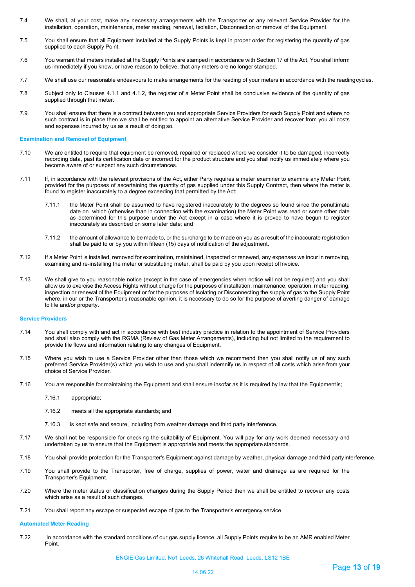- 7.4 We shall, at your cost, make any necessary arrangements with the Transporter or any relevant Service Provider for the installation, operation, maintenance, meter reading, renewal, Isolation, Disconnection or removal of the Equipment.
- 7.5 You shall ensure that all Equipment installed at the Supply Points is kept in proper order for registering the quantity of gas supplied to each Supply Point.
- 7.6 You warrant that meters installed at the Supply Points are stamped in accordance with Section 17 of the Act. You shall inform us immediately if you know, or have reason to believe, that any meters are no longer stamped.
- 7.7 We shall use our reasonable endeavours to make arrangements for the reading of your meters in accordance with the readingcycles.
- 7.8 Subject only to Clauses 4.1.1 and 4.1.2, the register of a Meter Point shall be conclusive evidence of the quantity of gas supplied through that meter.
- 7.9 You shall ensure that there is a contract between you and appropriate Service Providers for each Supply Point and where no such contract is in place then we shall be entitled to appoint an alternative Service Provider and recover from you all costs and expenses incurred by us as a result of doing so.

### **Examination and Removal of Equipment**

- 7.10 We are entitled to require that equipment be removed, repaired or replaced where we consider it to be damaged, incorrectly recording data, past its certification date or incorrect for the product structure and you shall notify us immediately where you become aware of or suspect any such circumstances.
- 7.11 If, in accordance with the relevant provisions of the Act, either Party requires a meter examiner to examine any Meter Point provided for the purposes of ascertaining the quantity of gas supplied under this Supply Contract, then where the meter is found to register inaccurately to a degree exceeding that permitted by the Act:
	- 7.11.1 the Meter Point shall be assumed to have registered inaccurately to the degrees so found since the penultimate date on which (otherwise than in connection with the examination) the Meter Point was read or some other date as determined for this purpose under the Act except in a case where it is proved to have begun to register inaccurately as described on some later date; and
	- 7.11.2 the amount of allowance to be made to, or the surcharge to be made on you as a result of the inaccurate registration shall be paid to or by you within fifteen (15) days of notification of the adjustment.
- 7.12 If a Meter Point is installed, removed for examination, maintained, inspected or renewed, any expenses we incur in removing, examining and re-installing the meter or substituting meter, shall be paid by you upon receipt of Invoice.
- 7.13 We shall give to you reasonable notice (except in the case of emergencies when notice will not be required) and you shall allow us to exercise the Access Rights without charge for the purposes of installation, maintenance, operation, meter reading, inspection or renewal of the Equipment or for the purposes of Isolating or Disconnecting the supply of gas to the Supply Point where, in our or the Transporter's reasonable opinion, it is necessary to do so for the purpose of averting danger of damage to life and/or property.

# **Service Providers**

- 7.14 You shall comply with and act in accordance with best industry practice in relation to the appointment of Service Providers and shall also comply with the RGMA (Review of Gas Meter Arrangements), including but not limited to the requirement to provide file flows and information relating to any changes of Equipment.
- 7.15 Where you wish to use a Service Provider other than those which we recommend then you shall notify us of any such preferred Service Provider(s) which you wish to use and you shall indemnify us in respect of all costs which arise from your choice of Service Provider.
- 7.16 You are responsible for maintaining the Equipment and shall ensure insofar as it is required by law that the Equipmentis;
	- 7.16.1 appropriate;
	- 7.16.2 meets all the appropriate standards; and
	- 7.16.3 is kept safe and secure, including from weather damage and third party interference.
- 7.17 We shall not be responsible for checking the suitability of Equipment. You will pay for any work deemed necessary and undertaken by us to ensure that the Equipment is appropriate and meets the appropriate standards.
- 7.18 You shall provide protection for the Transporter's Equipment against damage by weather, physical damage and third partyinterference.
- 7.19 You shall provide to the Transporter, free of charge, supplies of power, water and drainage as are required for the Transporter's Equipment.
- 7.20 Where the meter status or classification changes during the Supply Period then we shall be entitled to recover any costs which arise as a result of such changes.
- 7.21 You shall report any escape or suspected escape of gas to the Transporter's emergency service.

### **Automated Meter Reading**

7.22 In accordance with the standard conditions of our gas supply licence, all Supply Points require to be an AMR enabled Meter Point.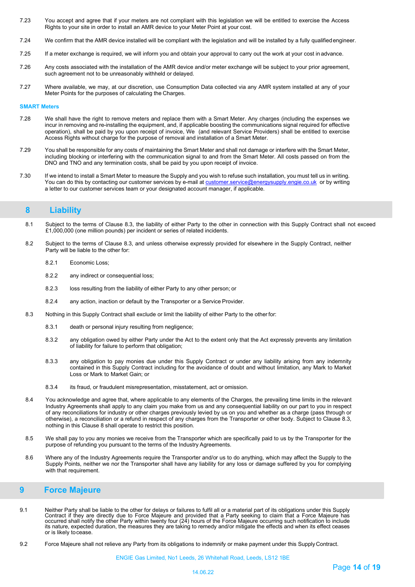- 7.23 You accept and agree that if your meters are not compliant with this legislation we will be entitled to exercise the Access Rights to your site in order to install an AMR device to your Meter Point at your cost.
- 7.24 We confirm that the AMR device installed will be compliant with the legislation and will be installed by a fully qualifiedengineer.
- 7.25 If a meter exchange is required, we will inform you and obtain your approval to carry out the work at your cost in advance.
- 7.26 Any costs associated with the installation of the AMR device and/or meter exchange will be subject to your prior agreement, such agreement not to be unreasonably withheld or delayed.
- 7.27 Where available, we may, at our discretion, use Consumption Data collected via any AMR system installed at any of your Meter Points for the purposes of calculating the Charges.

### **SMART Meters**

- 7.28 We shall have the right to remove meters and replace them with a Smart Meter. Any charges (including the expenses we incur in removing and re-installing the equipment, and, if applicable boosting the communications signal required for effective operation), shall be paid by you upon receipt of invoice, We (and relevant Service Providers) shall be entitled to exercise Access Rights without charge for the purpose of removal and installation of a Smart Meter.
- 7.29 You shall be responsible for any costs of maintaining the Smart Meter and shall not damage or interfere with the Smart Meter, including blocking or interfering with the communication signal to and from the Smart Meter. All costs passed on from the DNO and TNO and any termination costs, shall be paid by you upon receipt of invoice.
- 7.30 If we intend to install a Smart Meter to measure the Supply and you wish to refuse such installation, you must tell us in writing. You can do this by contacting our customer services by e-mail at **customer.service@energysupply.engie.co.uk** or by writing a letter to our customer services team or your designated account manager, if applicable.

# <span id="page-13-0"></span>**8 Liability**

- 8.1 Subject to the terms of Clause 8.3, the liability of either Party to the other in connection with this Supply Contract shall not exceed £1,000,000 (one million pounds) per incident or series of related incidents.
- 8.2 Subject to the terms of Clause 8.3, and unless otherwise expressly provided for elsewhere in the Supply Contract, neither Party will be liable to the other for:
	- 8.2.1 Economic Loss;
	- 8.2.2 any indirect or consequential loss;
	- 8.2.3 loss resulting from the liability of either Party to any other person; or
	- 8.2.4 any action, inaction or default by the Transporter or a Service Provider.
- 8.3 Nothing in this Supply Contract shall exclude or limit the liability of either Party to the other for:
	- 8.3.1 death or personal injury resulting from negligence;
	- 8.3.2 any obligation owed by either Party under the Act to the extent only that the Act expressly prevents any limitation of liability for failure to perform that obligation;
	- 8.3.3 any obligation to pay monies due under this Supply Contract or under any liability arising from any indemnity contained in this Supply Contract including for the avoidance of doubt and without limitation, any Mark to Market Loss or Mark to Market Gain; or
	- 8.3.4 its fraud, or fraudulent misrepresentation, misstatement, act or omission.
- <span id="page-13-1"></span>8.4 You acknowledge and agree that, where applicable to any elements of the Charges, the prevailing time limits in the relevant Industry Agreements shall apply to any claim you make from us and any consequential liability on our part to you in respect of any reconciliations for industry or other charges previously levied by us on you and whether as a charge (pass through or otherwise), a reconciliation or a refund in respect of any charges from the Transporter or other body. Subject to Clause 8.3, nothing in this Clause 8 shall operate to restrict this position.
- 8.5 We shall pay to you any monies we receive from the Transporter which are specifically paid to us by the Transporter for the purpose of refunding you pursuant to the terms of the Industry Agreements.
- 8.6 Where any of the Industry Agreements require the Transporter and/or us to do anything, which may affect the Supply to the Supply Points, neither we nor the Transporter shall have any liability for any loss or damage suffered by you for complying with that requirement.

# **9 Force Majeure**

- 9.1 Neither Party shall be liable to the other for delays or failures to fulfil all or a material part of its obligations under this Supply<br>Contract if they are directly due to Force Majeure and provided that a Party seeki occurred shall notify the other Party within twenty four (24) hours of the Force Majeure occurring such notification to include<br>its nature, expected duration, the measures they are taking to remedy and/or mitigate the effe or is likely tocease.
- 9.2 Force Majeure shall not relieve any Party from its obligations to indemnify or make payment under this Supply Contract.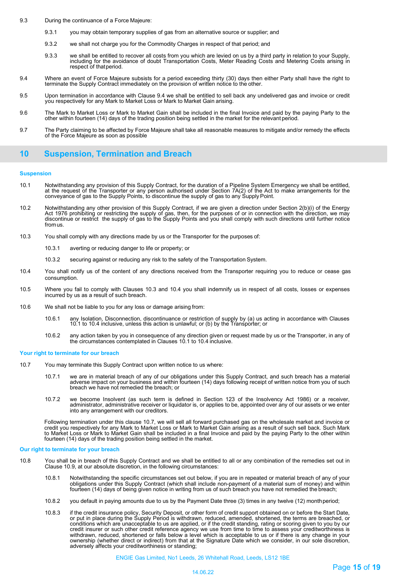- 9.3 During the continuance of a Force Majeure:
	- 9.3.1 you may obtain temporary supplies of gas from an alternative source or supplier; and
	- 9.3.2 we shall not charge you for the Commodity Charges in respect of that period; and
	- 9.3.3 we shall be entitled to recover all costs from you which are levied on us by a third party in relation to your Supply,<br>including for the avoidance of doubt Transportation Costs, Meter Reading Costs and Metering Cos respect of thatperiod.
- 9.4 Where an event of Force Majeure subsists for a period exceeding thirty (30) days then either Party shall have the right to terminate the Supply Contract immediately on the provision of written notice to the other.
- 9.5 Upon termination in accordance with Clause 9.4 we shall be entitled to sell back any undelivered gas and invoice or credit you respectively for any Mark to Market Loss or Mark to Market Gain arising.
- 9.6 The Mark to Market Loss or Mark to Market Gain shall be included in the final Invoice and paid by the paying Party to the other within fourteen (14) days of the trading position being settled in the market for the relevant period.
- 9.7 The Party claiming to be affected by Force Majeure shall take all reasonable measures to mitigate and/or remedy the effects of the Force Majeure as soon as possible

# <span id="page-14-0"></span>**10 Suspension, Termination and Breach**

### **Suspension**

- 10.1 Notwithstanding any provision of this Supply Contract, for the duration of a Pipeline System Emergency we shall be entitled, at the request of the Transporter or any person authorised under Section 7A(2) of the Act to make arrangements for the conveyance of gas to the Supply Points, to discontinue the supply of gas to any Supply Point.
- 10.2 Notwithstanding any other provision of this Supply Contract, if we are given a direction under Section 2(b)(i) of the Energy Act 1976 prohibiting or restricting the supply of gas, then, for the purposes of or in connection with the direction, we may<br>discontinue or restrict the supply of gas to the Supply Points and you shall comply with such di
- 10.3 You shall comply with any directions made by us or the Transporter for the purposes of:
	- 10.3.1 averting or reducing danger to life or property; or
	- 10.3.2 securing against or reducing any risk to the safety of the Transportation System.
- 10.4 You shall notify us of the content of any directions received from the Transporter requiring you to reduce or cease gas consumption.
- 10.5 Where you fail to comply with Clauses 10.3 and 10.4 you shall indemnify us in respect of all costs, losses or expenses incurred by us as a result of such breach.
- 10.6 We shall not be liable to you for any loss or damage arising from:
	- 10.6.1 any Isolation, Disconnection, discontinuance or restriction of supply by (a) us acting in accordance with Clauses 10.1 to 10.4 inclusive, unless this action is unlawful; or (b) by the Transporter; or
	- 10.6.2 any action taken by you in consequence of any direction given or request made by us or the Transporter, in any of the circumstances contemplated in Clauses 10.1 to 10.4 inclusive.

#### **Your right to terminate for our breach**

- 10.7 You may terminate this Supply Contract upon written notice to us where:
	- we are in material breach of any of our obligations under this Supply Contract, and such breach has a material<br>adverse impact on your business and within fourteen (14) days following receipt of written notice from you of s breach we have not remedied the breach; or
	- 10.7.2 we become Insolvent (as such term is defined in Section 123 of the Insolvency Act 1986) or a receiver, administrator, administrative receiver or liquidator is, or applies to be, appointed over any of our assets or we enter into any arrangement with our creditors.

Following termination under this clause 10.7, we will sell all forward purchased gas on the wholesale market and invoice or credit you respectively for any Mark to Market Loss or Mark to Market Gain arising as a result of such sell back. Such Mark<br>to Market Loss or Mark to Market Gain shall be included in a final Invoice and paid by the paying fourteen (14) days of the trading position being settled in the market.

#### **Our right to terminate for your breach**

- 10.8 You shall be in breach of this Supply Contract and we shall be entitled to all or any combination of the remedies set out in Clause 10.9, at our absolute discretion, in the following circumstances:
	- 10.8.1 Notwithstanding the specific circumstances set out below, if you are in repeated or material breach of any of your<br>obligations under this Supply Contract (which shall include non-payment of a material sum of money) fourteen (14) days of being given notice in writing from us of such breach you have not remedied the breach;
	- 10.8.2 you default in paying amounts due to us by the Payment Date three (3) times in any twelve (12) monthperiod;
	- 10.8.3 if the credit insurance policy, Security Deposit, or other form of credit support obtained on or before the Start Date, or put in place during the Supply Period is withdrawn, reduced, amended, shortened, the terms are breached, or conditions which are unacceptable to us are applied, or if the credit standing, rating or scoring given to you by our credit insurer or such other credit reference agency we use from time to time to assess your creditworthiness is<br>withdrawn, reduced, shortened or falls below a level which is acceptable to us or if there is any change in y ownership (whether direct or indirect) from that at the Signature Date which we consider, in our sole discretion, adversely affects your creditworthiness or standing;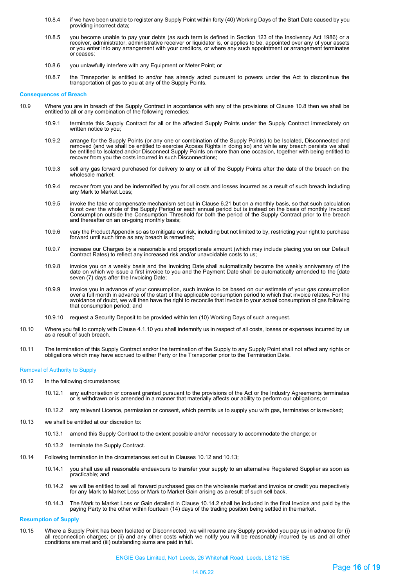- 10.8.4 if we have been unable to register any Supply Point within forty (40) Working Days of the Start Date caused by you providing incorrect data;
- 10.8.5 you become unable to pay your debts (as such term is defined in Section 123 of the Insolvency Act 1986) or a receiver, administrator, administrative receiver or liquidator is, or applies to be, appointed over any of your assets or you enter into any arrangement with your creditors, or where any such appointment or arrangement terminates or ceases;
- 10.8.6 you unlawfully interfere with any Equipment or Meter Point; or
- 10.8.7 the Transporter is entitled to and/or has already acted pursuant to powers under the Act to discontinue the transportation of gas to you at any of the Supply Points.

### **Consequences of Breach**

- 10.9 Where you are in breach of the Supply Contract in accordance with any of the provisions of Clause 10.8 then we shall be entitled to all or any combination of the following remedies:
	- 10.9.1 terminate this Supply Contract for all or the affected Supply Points under the Supply Contract immediately on written notice to you;
	- 10.9.2 arrange for the Supply Points (or any one or combination of the Supply Points) to be Isolated, Disconnected and removed (and we shall be entitled to exercise Access Rights in doing so) and while any breach persists we shall<br>be entitled to Isolated and/or Disconnect Supply Points on more than one occasion, together with being entitle recover from you the costs incurred in such Disconnections;
	- 10.9.3 sell any gas forward purchased for delivery to any or all of the Supply Points after the date of the breach on the wholesale market;
	- 10.9.4 recover from you and be indemnified by you for all costs and losses incurred as a result of such breach including any Mark to Market Loss;
	- 10.9.5 invoke the take or compensate mechanism set out in Clause 6.21 but on a monthly basis, so that such calculation is not over the whole of the Supply Period or each annual period but is instead on the basis of monthly Invoiced Consumption outside the Consumption Threshold for both the period of the Supply Contract prior to the breach and thereafter on an on-going monthly basis;
	- 10.9.6 vary the Product Appendix so as to mitigate our risk, including but not limited to by, restricting your right to purchase forward until such time as any breach is remedied;
	- 10.9.7 increase our Charges by a reasonable and proportionate amount (which may include placing you on our Default Contract Rates) to reflect any increased risk and/or unavoidable costs to us;
	- 10.9.8 invoice you on a weekly basis and the Invoicing Date shall automatically become the weekly anniversary of the<br>date on which we issue a first invoice to you and the Payment Date shall be automatically amended to the seven (7) days after the Invoicing Date;
	- 10.9.9 invoice you in advance of your consumption, such invoice to be based on our estimate of your gas consumption over a full month in advance of the start of the applicable consumption period to which that invoice relates. For the avoidance of doubt, we will then have the right to reconcile that invoice to your actual consumption of gas following that consumption period; and
	- 10.9.10 request a Security Deposit to be provided within ten (10) Working Days of such a request.
- 10.10 Where you fail to comply with Clause 4.1.10 you shall indemnify us in respect of all costs, losses or expenses incurred by us as a result of such breach.
- 10.11 The termination of this Supply Contract and/or the termination of the Supply to any Supply Point shall not affect any rights or obligations which may have accrued to either Party or the Transporter prior to the Termi

### Removal of Authority to Supply

- 10.12 In the following circumstances;
	- 10.12.1 any authorisation or consent granted pursuant to the provisions of the Act or the Industry Agreements terminates<br>or is withdrawn or is amended in a manner that materially affects our ability to perform our obligati
	- 10.12.2 any relevant Licence, permission or consent, which permits us to supply you with gas, terminates or is revoked;
- 10.13 we shall be entitled at our discretion to:
	- 10.13.1 amend this Supply Contract to the extent possible and/or necessary to accommodate the change; or
	- 10.13.2 terminate the Supply Contract.
- 10.14 Following termination in the circumstances set out in Clauses 10.12 and 10.13;
	- 10.14.1 you shall use all reasonable endeavours to transfer your supply to an alternative Registered Supplier as soon as practicable; and
	- 10.14.2 we will be entitled to sell all forward purchased gas on the wholesale market and invoice or credit you respectively for any Mark to Market Loss or Mark to Market Gain arising as a result of such sell back.
	- 10.14.3 The Mark to Market Loss or Gain detailed in Clause 10.14.2 shall be included in the final Invoice and paid by the paying Party to the other within fourteen (14) days of the trading position being settled in the market.

# **Resumption of Supply**

10.15 Where a Supply Point has been Isolated or Disconnected, we will resume any Supply provided you pay us in advance for (i) all reconnection charges; or (ii) and any other costs which we notify you will be reasonably incurred by us and all other conditions are met and (iii) outstanding sums are paid in full.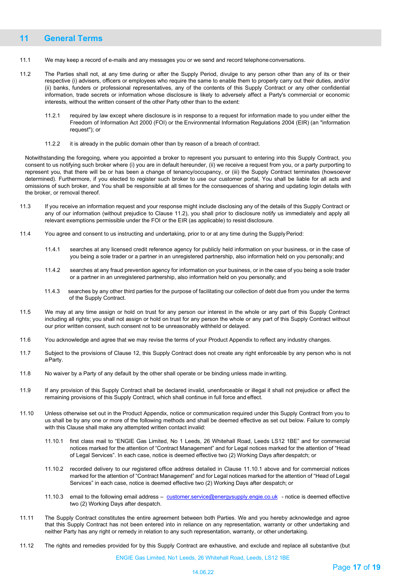# <span id="page-16-0"></span>**11 General Terms**

- 11.1 We may keep a record of e-mails and any messages you or we send and record telephoneconversations.
- 11.2 The Parties shall not, at any time during or after the Supply Period, divulge to any person other than any of its or their respective (i) advisers, officers or employees who require the same to enable them to properly carry out their duties, and/or (ii) banks, funders or professional representatives, any of the contents of this Supply Contract or any other confidential information, trade secrets or information whose disclosure is likely to adversely affect a Party's commercial or economic interests, without the written consent of the other Party other than to the extent:
	- 11.2.1 required by law except where disclosure is in response to a request for information made to you under either the Freedom of Information Act 2000 (FOI) or the Environmental Information Regulations 2004 (EIR) (an "information request"); or
	- 11.2.2 it is already in the public domain other than by reason of a breach of contract.

Notwithstanding the foregoing, where you appointed a broker to represent you pursuant to entering into this Supply Contract, you consent to us notifying such broker where (i) you are in default hereunder, (ii) we receive a request from you, or a party purporting to represent you, that there will be or has been a change of tenancy/occupancy, or (iii) the Supply Contract terminates (howsoever determined). Furthermore, if you elected to register such broker to use our customer portal, You shall be liable for all acts and omissions of such broker, and You shall be responsible at all times for the consequences of sharing and updating login details with the broker, or removal thereof.

- 11.3 If you receive an information request and your response might include disclosing any of the details of this Supply Contract or any of our information (without prejudice to Clause 11.2), you shall prior to disclosure notify us immediately and apply all relevant exemptions permissible under the FOI or the EIR (as applicable) to resist disclosure.
- 11.4 You agree and consent to us instructing and undertaking, prior to or at any time during the SupplyPeriod:
	- 11.4.1 searches at any licensed credit reference agency for publicly held information on your business, or in the case of you being a sole trader or a partner in an unregistered partnership, also information held on you personally; and
	- 11.4.2 searches at any fraud prevention agency for information on your business, or in the case of you being a sole trader or a partner in an unregistered partnership, also information held on you personally; and
	- 11.4.3 searches by any other third parties for the purpose of facilitating our collection of debt due from you under the terms of the Supply Contract.
- 11.5 We may at any time assign or hold on trust for any person our interest in the whole or any part of this Supply Contract including all rights; you shall not assign or hold on trust for any person the whole or any part of this Supply Contract without our prior written consent, such consent not to be unreasonably withheld or delayed.
- 11.6 You acknowledge and agree that we may revise the terms of your Product Appendix to reflect any industry changes.
- 11.7 Subject to the provisions of Clause 12, this Supply Contract does not create any right enforceable by any person who is not a Party.
- 11.8 No waiver by a Party of any default by the other shall operate or be binding unless made in writing.
- 11.9 If any provision of this Supply Contract shall be declared invalid, unenforceable or illegal it shall not prejudice or affect the remaining provisions of this Supply Contract, which shall continue in full force and effect.
- 11.10 Unless otherwise set out in the Product Appendix, notice or communication required under this Supply Contract from you to us shall be by any one or more of the following methods and shall be deemed effective as set out below. Failure to comply with this Clause shall make any attempted written contact invalid:
	- 11.10.1 first class mail to "ENGIE Gas Limited, No 1 Leeds, 26 Whitehall Road, Leeds LS12 1BE" and for commercial notices marked for the attention of "Contract Management" and for Legal notices marked for the attention of "Head of Legal Services". In each case, notice is deemed effective two (2) Working Days after despatch; or
	- 11.10.2 recorded delivery to our registered office address detailed in Clause 11.10.1 above and for commercial notices marked for the attention of "Contract Management" and for Legal notices marked for the attention of "Head of Legal Services" in each case, notice is deemed effective two (2) Working Days after despatch; or
	- 11.10.3 email to the following email address [customer.service@energysupply.engie.co.uk](mailto:customer.service@energysupply.engie.co.uk) notice is deemed effective two (2) Working Days after despatch.
- 11.11 The Supply Contract constitutes the entire agreement between both Parties. We and you hereby acknowledge and agree that this Supply Contract has not been entered into in reliance on any representation, warranty or other undertaking and neither Party has any right or remedy in relation to any such representation, warranty, or other undertaking.
- 11.12 The rights and remedies provided for by this Supply Contract are exhaustive, and exclude and replace all substantive (but

ENGIE Gas Limited, No1 Leeds, 26 Whitehall Road, Leeds, LS12 1BE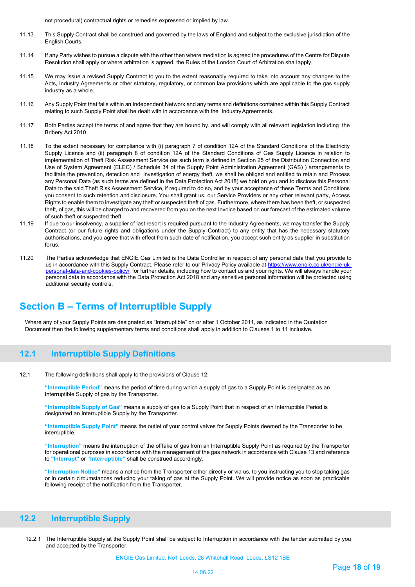not procedural) contractual rights or remedies expressed or implied by law.

- 11.13 This Supply Contract shall be construed and governed by the laws of England and subject to the exclusive jurisdiction of the English Courts.
- 11.14 If any Party wishes to pursue a dispute with the other then where mediation is agreed the procedures of the Centre for Dispute Resolution shall apply or where arbitration is agreed, the Rules of the London Court of Arbitration shallapply.
- 11.15 We may issue a revised Supply Contract to you to the extent reasonably required to take into account any changes to the Acts, Industry Agreements or other statutory, regulatory, or common law provisions which are applicable to the gas supply industry as a whole.
- 11.16 Any Supply Point that falls within an Independent Network and any terms and definitions contained within this Supply Contract relating to such Supply Point shall be dealt with in accordance with the Industry Agreements.
- 11.17 Both Parties accept the terms of and agree that they are bound by, and will comply with all relevant legislation including the Bribery Act 2010.
- 11.18 To the extent necessary for compliance with (i) paragraph 7 of condition 12A of the Standard Conditions of the Electricity Supply Licence and (ii) paragraph 8 of condition 12A of the Standard Conditions of Gas Supply Licence in relation to implementation of Theft Risk Assessment Service (as such term is defined in Section 25 of the Distribution Connection and Use of System Agreement (ELEC) / Schedule 34 of the Supply Point Administration Agreement (GAS) ) arrangements to facilitate the prevention, detection and investigation of energy theft, we shall be obliged and entitled to retain and Process any Personal Data (as such terms are defined in the Data Protection Act 2018) we hold on you and to disclose this Personal Data to the said Theft Risk Assessment Service, if required to do so, and by your acceptance of these Terms and Conditions you consent to such retention and disclosure. You shall grant us, our Service Providers or any other relevant party, Access Rights to enable them to investigate any theft or suspected theft of gas. Furthermore, where there has been theft, or suspected theft, of gas, this will be charged to and recovered from you on the next Invoice based on our forecast of the estimated volume of such theft or suspected theft.
- 11.19 If due to our insolvency, a supplier of last resort is required pursuant to the Industry Agreements, we may transfer the Supply Contract (or our future rights and obligations under the Supply Contract) to any entity that has the necessary statutory authorisations, and you agree that with effect from such date of notification, you accept such entity as supplier in substitution forus.
- 11.20 The Parties acknowledge that ENGIE Gas Limited is the Data Controller in respect of any personal data that you provide to us in accordance with this Supply Contract. Please refer to our Privacy Policy available at [https://www.engie.co.uk/engie-uk](https://www.engie.co.uk/engie-uk-personal-data-and-cookies-policy/)[personal-data-and-cookies-policy/](https://www.engie.co.uk/engie-uk-personal-data-and-cookies-policy/) for further details, including how to contact us and your rights. We will always handle your personal data in accordance with the Data Protection Act 2018 and any sensitive personal information will be protected using additional security controls.

# **Section B – Terms of Interruptible Supply**

Where any of your Supply Points are designated as "Interruptible" on or after 1 October 2011, as indicated in the Quotation Document then the following supplementary terms and conditions shall apply in addition to Clauses 1 to 11 inclusive.

# <span id="page-17-0"></span>**12.1 Interruptible Supply Definitions**

12.1 The following definitions shall apply to the provisions of Clause 12:

**"Interruptible Period"** means the period of time during which a supply of gas to a Supply Point is designated as an Interruptible Supply of gas by the Transporter.

**"Interruptible Supply of Gas"** means a supply of gas to a Supply Point that in respect of an Interruptible Period is designated an Interruptible Supply by the Transporter.

**"Interruptible Supply Point"** means the outlet of your control valves for Supply Points deemed by the Transporter to be interruptible.

**"Interruption"** means the interruption of the offtake of gas from an Interruptible Supply Point as required by the Transporter for operational purposes in accordance with the management of the gas network in accordance with Clause 13 and reference to **"Interrupt"** or **"Interruptible"** shall be construed accordingly.

**"Interruption Notice"** means a notice from the Transporter either directly or via us, to you instructing you to stop taking gas or in certain circumstances reducing your taking of gas at the Supply Point. We will provide notice as soon as practicable following receipt of the notification from the Transporter.

# <span id="page-17-1"></span>**12.2 Interruptible Supply**

12.2.1 The Interruptible Supply at the Supply Point shall be subject to Interruption in accordance with the tender submitted by you and accepted by the Transporter.

ENGIE Gas Limited, No1 Leeds, 26 Whitehall Road, Leeds, LS12 1BE